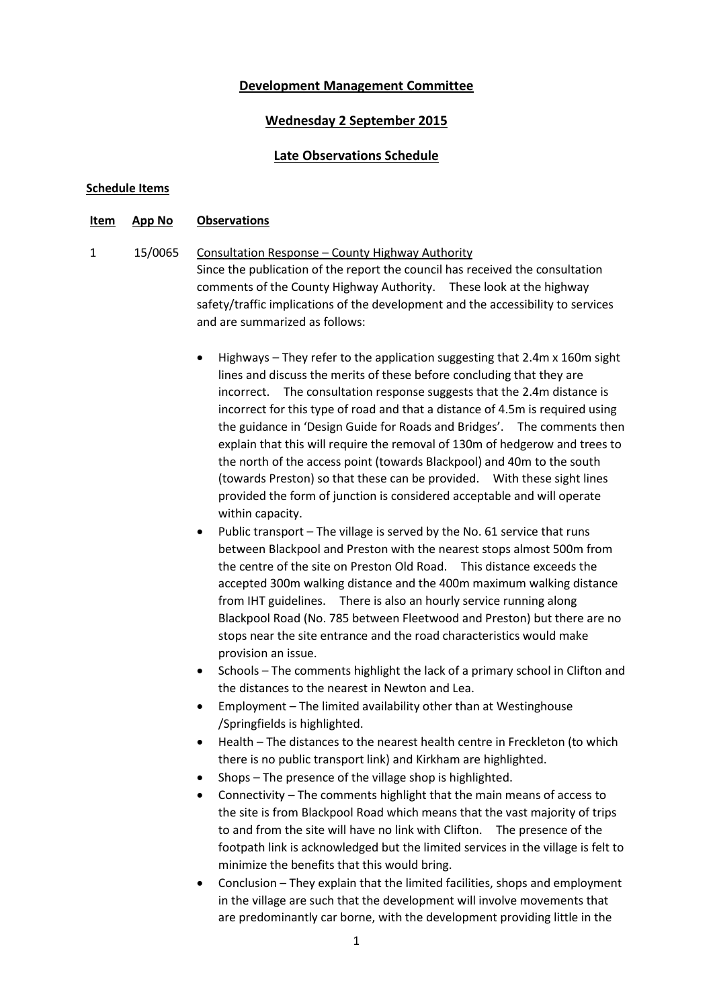# **Development Management Committee**

## **Wednesday 2 September 2015**

# **Late Observations Schedule**

## **Schedule Items**

#### **Item App No Observations**

- 1 15/0065 Consultation Response County Highway Authority Since the publication of the report the council has received the consultation comments of the County Highway Authority. These look at the highway safety/traffic implications of the development and the accessibility to services and are summarized as follows:
	- Highways They refer to the application suggesting that 2.4m x 160m sight lines and discuss the merits of these before concluding that they are incorrect. The consultation response suggests that the 2.4m distance is incorrect for this type of road and that a distance of 4.5m is required using the guidance in 'Design Guide for Roads and Bridges'. The comments then explain that this will require the removal of 130m of hedgerow and trees to the north of the access point (towards Blackpool) and 40m to the south (towards Preston) so that these can be provided. With these sight lines provided the form of junction is considered acceptable and will operate within capacity.
	- Public transport The village is served by the No. 61 service that runs between Blackpool and Preston with the nearest stops almost 500m from the centre of the site on Preston Old Road. This distance exceeds the accepted 300m walking distance and the 400m maximum walking distance from IHT guidelines. There is also an hourly service running along Blackpool Road (No. 785 between Fleetwood and Preston) but there are no stops near the site entrance and the road characteristics would make provision an issue.
	- Schools The comments highlight the lack of a primary school in Clifton and the distances to the nearest in Newton and Lea.
	- Employment The limited availability other than at Westinghouse /Springfields is highlighted.
	- Health The distances to the nearest health centre in Freckleton (to which there is no public transport link) and Kirkham are highlighted.
	- Shops The presence of the village shop is highlighted.
	- Connectivity The comments highlight that the main means of access to the site is from Blackpool Road which means that the vast majority of trips to and from the site will have no link with Clifton. The presence of the footpath link is acknowledged but the limited services in the village is felt to minimize the benefits that this would bring.
	- Conclusion They explain that the limited facilities, shops and employment in the village are such that the development will involve movements that are predominantly car borne, with the development providing little in the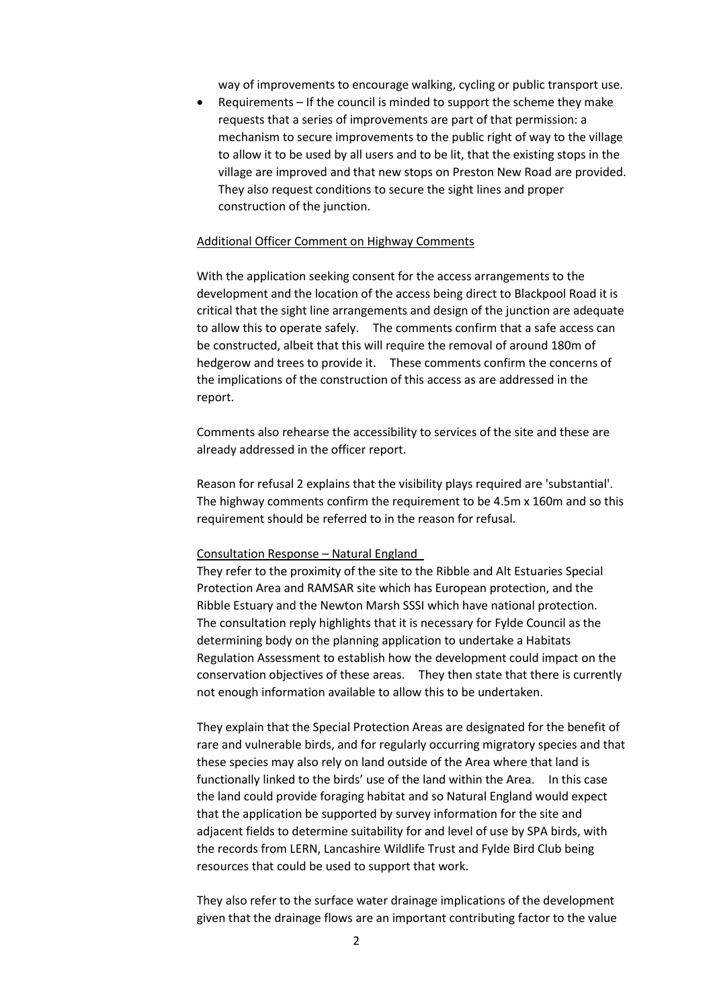way of improvements to encourage walking, cycling or public transport use.

 Requirements – If the council is minded to support the scheme they make requests that a series of improvements are part of that permission: a mechanism to secure improvements to the public right of way to the village to allow it to be used by all users and to be lit, that the existing stops in the village are improved and that new stops on Preston New Road are provided. They also request conditions to secure the sight lines and proper construction of the junction.

## Additional Officer Comment on Highway Comments

With the application seeking consent for the access arrangements to the development and the location of the access being direct to Blackpool Road it is critical that the sight line arrangements and design of the junction are adequate to allow this to operate safely. The comments confirm that a safe access can be constructed, albeit that this will require the removal of around 180m of hedgerow and trees to provide it. These comments confirm the concerns of the implications of the construction of this access as are addressed in the report.

Comments also rehearse the accessibility to services of the site and these are already addressed in the officer report.

Reason for refusal 2 explains that the visibility plays required are 'substantial'. The highway comments confirm the requirement to be 4.5m x 160m and so this requirement should be referred to in the reason for refusal.

#### Consultation Response – Natural England

They refer to the proximity of the site to the Ribble and Alt Estuaries Special Protection Area and RAMSAR site which has European protection, and the Ribble Estuary and the Newton Marsh SSSI which have national protection. The consultation reply highlights that it is necessary for Fylde Council as the determining body on the planning application to undertake a Habitats Regulation Assessment to establish how the development could impact on the conservation objectives of these areas. They then state that there is currently not enough information available to allow this to be undertaken.

They explain that the Special Protection Areas are designated for the benefit of rare and vulnerable birds, and for regularly occurring migratory species and that these species may also rely on land outside of the Area where that land is functionally linked to the birds' use of the land within the Area. In this case the land could provide foraging habitat and so Natural England would expect that the application be supported by survey information for the site and adjacent fields to determine suitability for and level of use by SPA birds, with the records from LERN, Lancashire Wildlife Trust and Fylde Bird Club being resources that could be used to support that work.

They also refer to the surface water drainage implications of the development given that the drainage flows are an important contributing factor to the value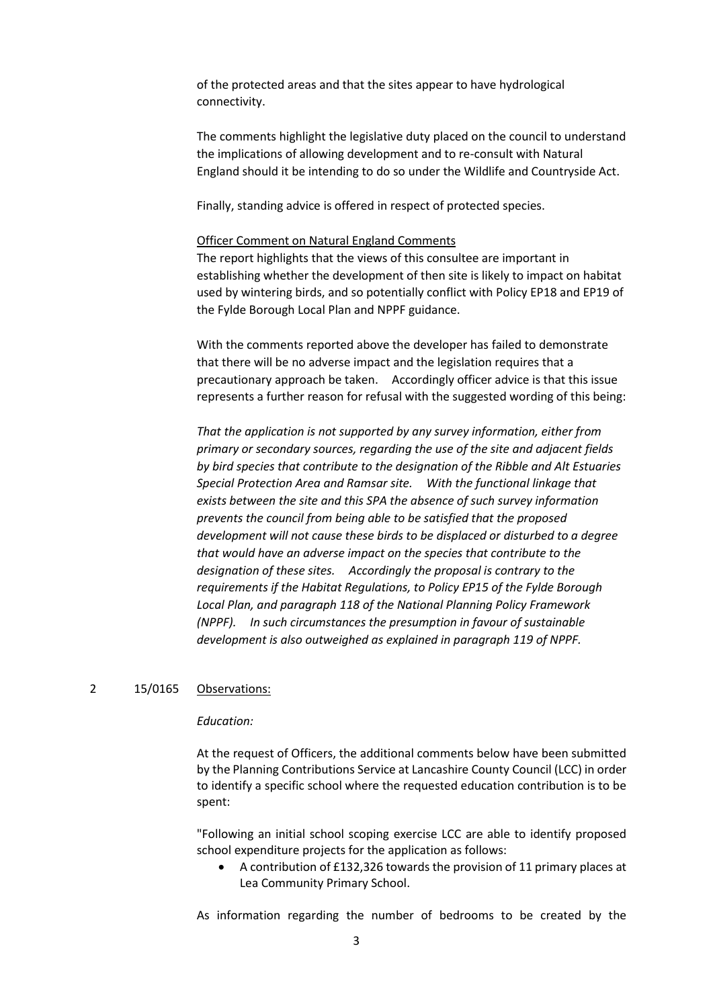of the protected areas and that the sites appear to have hydrological connectivity.

The comments highlight the legislative duty placed on the council to understand the implications of allowing development and to re-consult with Natural England should it be intending to do so under the Wildlife and Countryside Act.

Finally, standing advice is offered in respect of protected species.

### Officer Comment on Natural England Comments

The report highlights that the views of this consultee are important in establishing whether the development of then site is likely to impact on habitat used by wintering birds, and so potentially conflict with Policy EP18 and EP19 of the Fylde Borough Local Plan and NPPF guidance.

With the comments reported above the developer has failed to demonstrate that there will be no adverse impact and the legislation requires that a precautionary approach be taken. Accordingly officer advice is that this issue represents a further reason for refusal with the suggested wording of this being:

*That the application is not supported by any survey information, either from primary or secondary sources, regarding the use of the site and adjacent fields by bird species that contribute to the designation of the Ribble and Alt Estuaries Special Protection Area and Ramsar site. With the functional linkage that exists between the site and this SPA the absence of such survey information prevents the council from being able to be satisfied that the proposed development will not cause these birds to be displaced or disturbed to a degree that would have an adverse impact on the species that contribute to the designation of these sites. Accordingly the proposal is contrary to the requirements if the Habitat Regulations, to Policy EP15 of the Fylde Borough Local Plan, and paragraph 118 of the National Planning Policy Framework (NPPF). In such circumstances the presumption in favour of sustainable development is also outweighed as explained in paragraph 119 of NPPF.*

## 2 15/0165 Observations:

### *Education:*

At the request of Officers, the additional comments below have been submitted by the Planning Contributions Service at Lancashire County Council (LCC) in order to identify a specific school where the requested education contribution is to be spent:

"Following an initial school scoping exercise LCC are able to identify proposed school expenditure projects for the application as follows:

 A contribution of £132,326 towards the provision of 11 primary places at Lea Community Primary School.

As information regarding the number of bedrooms to be created by the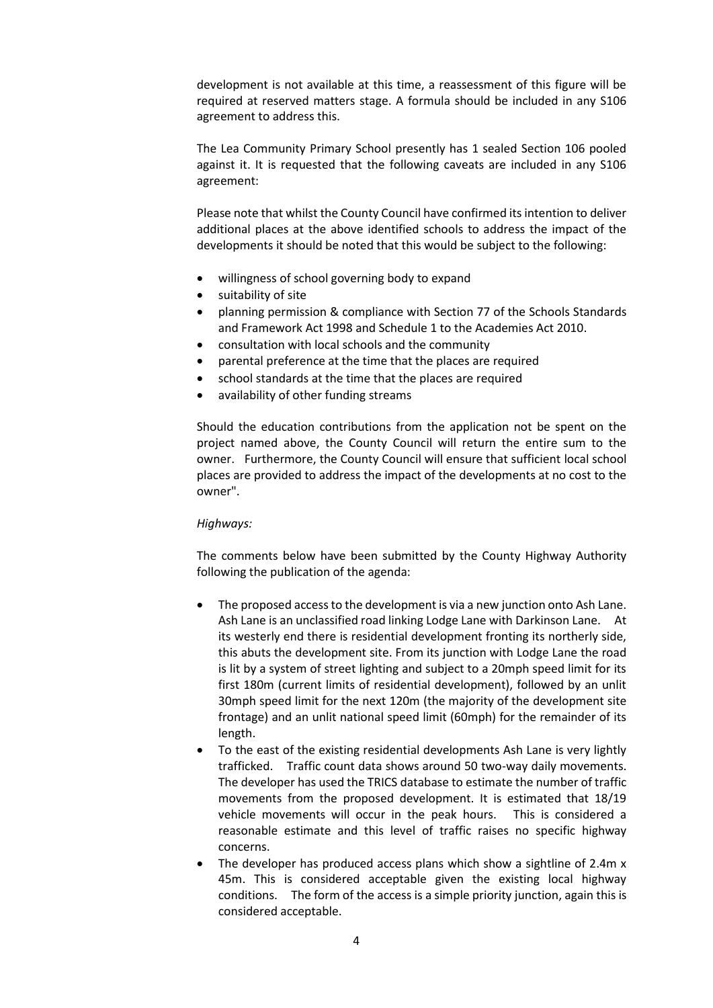development is not available at this time, a reassessment of this figure will be required at reserved matters stage. A formula should be included in any S106 agreement to address this.

The Lea Community Primary School presently has 1 sealed Section 106 pooled against it. It is requested that the following caveats are included in any S106 agreement:

Please note that whilst the County Council have confirmed its intention to deliver additional places at the above identified schools to address the impact of the developments it should be noted that this would be subject to the following:

- willingness of school governing body to expand
- suitability of site
- planning permission & compliance with Section 77 of the Schools Standards and Framework Act 1998 and Schedule 1 to the Academies Act 2010.
- consultation with local schools and the community
- parental preference at the time that the places are required
- school standards at the time that the places are required
- availability of other funding streams

Should the education contributions from the application not be spent on the project named above, the County Council will return the entire sum to the owner. Furthermore, the County Council will ensure that sufficient local school places are provided to address the impact of the developments at no cost to the owner".

## *Highways:*

The comments below have been submitted by the County Highway Authority following the publication of the agenda:

- The proposed access to the development is via a new junction onto Ash Lane. Ash Lane is an unclassified road linking Lodge Lane with Darkinson Lane. At its westerly end there is residential development fronting its northerly side, this abuts the development site. From its junction with Lodge Lane the road is lit by a system of street lighting and subject to a 20mph speed limit for its first 180m (current limits of residential development), followed by an unlit 30mph speed limit for the next 120m (the majority of the development site frontage) and an unlit national speed limit (60mph) for the remainder of its length.
- To the east of the existing residential developments Ash Lane is very lightly trafficked. Traffic count data shows around 50 two-way daily movements. The developer has used the TRICS database to estimate the number of traffic movements from the proposed development. It is estimated that 18/19 vehicle movements will occur in the peak hours. This is considered a reasonable estimate and this level of traffic raises no specific highway concerns.
- The developer has produced access plans which show a sightline of 2.4m x 45m. This is considered acceptable given the existing local highway conditions. The form of the access is a simple priority junction, again this is considered acceptable.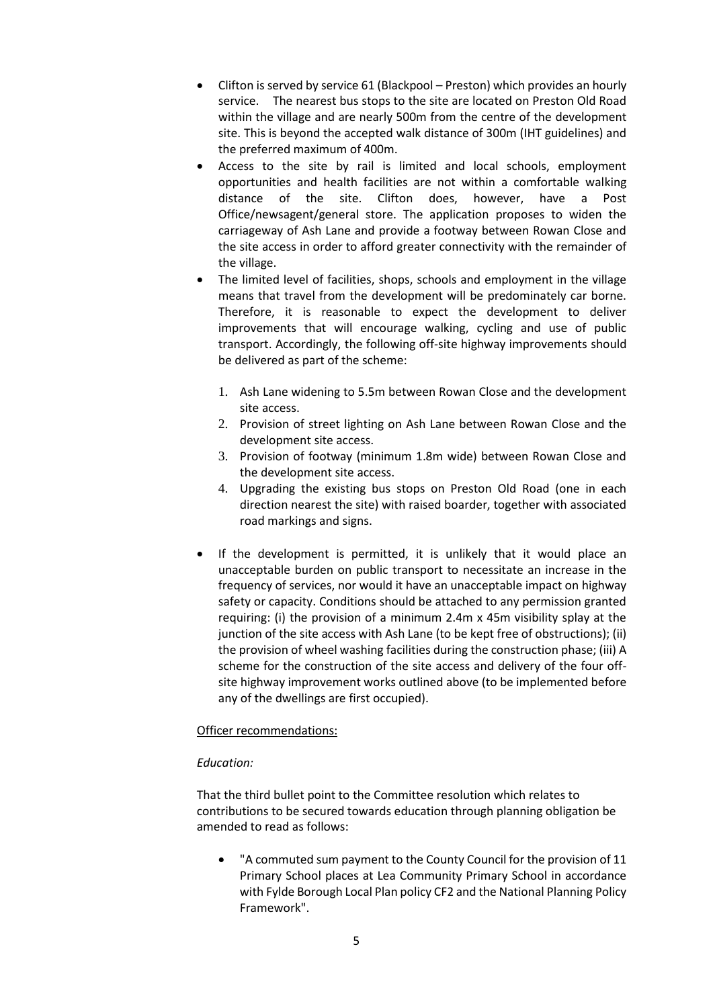- Clifton is served by service 61 (Blackpool Preston) which provides an hourly service. The nearest bus stops to the site are located on Preston Old Road within the village and are nearly 500m from the centre of the development site. This is beyond the accepted walk distance of 300m (IHT guidelines) and the preferred maximum of 400m.
- Access to the site by rail is limited and local schools, employment opportunities and health facilities are not within a comfortable walking distance of the site. Clifton does, however, have a Post Office/newsagent/general store. The application proposes to widen the carriageway of Ash Lane and provide a footway between Rowan Close and the site access in order to afford greater connectivity with the remainder of the village.
- The limited level of facilities, shops, schools and employment in the village means that travel from the development will be predominately car borne. Therefore, it is reasonable to expect the development to deliver improvements that will encourage walking, cycling and use of public transport. Accordingly, the following off-site highway improvements should be delivered as part of the scheme:
	- 1. Ash Lane widening to 5.5m between Rowan Close and the development site access.
	- 2. Provision of street lighting on Ash Lane between Rowan Close and the development site access.
	- 3. Provision of footway (minimum 1.8m wide) between Rowan Close and the development site access.
	- 4. Upgrading the existing bus stops on Preston Old Road (one in each direction nearest the site) with raised boarder, together with associated road markings and signs.
- If the development is permitted, it is unlikely that it would place an unacceptable burden on public transport to necessitate an increase in the frequency of services, nor would it have an unacceptable impact on highway safety or capacity. Conditions should be attached to any permission granted requiring: (i) the provision of a minimum 2.4m x 45m visibility splay at the junction of the site access with Ash Lane (to be kept free of obstructions); (ii) the provision of wheel washing facilities during the construction phase; (iii) A scheme for the construction of the site access and delivery of the four offsite highway improvement works outlined above (to be implemented before any of the dwellings are first occupied).

# Officer recommendations:

# *Education:*

That the third bullet point to the Committee resolution which relates to contributions to be secured towards education through planning obligation be amended to read as follows:

 "A commuted sum payment to the County Council for the provision of 11 Primary School places at Lea Community Primary School in accordance with Fylde Borough Local Plan policy CF2 and the National Planning Policy Framework".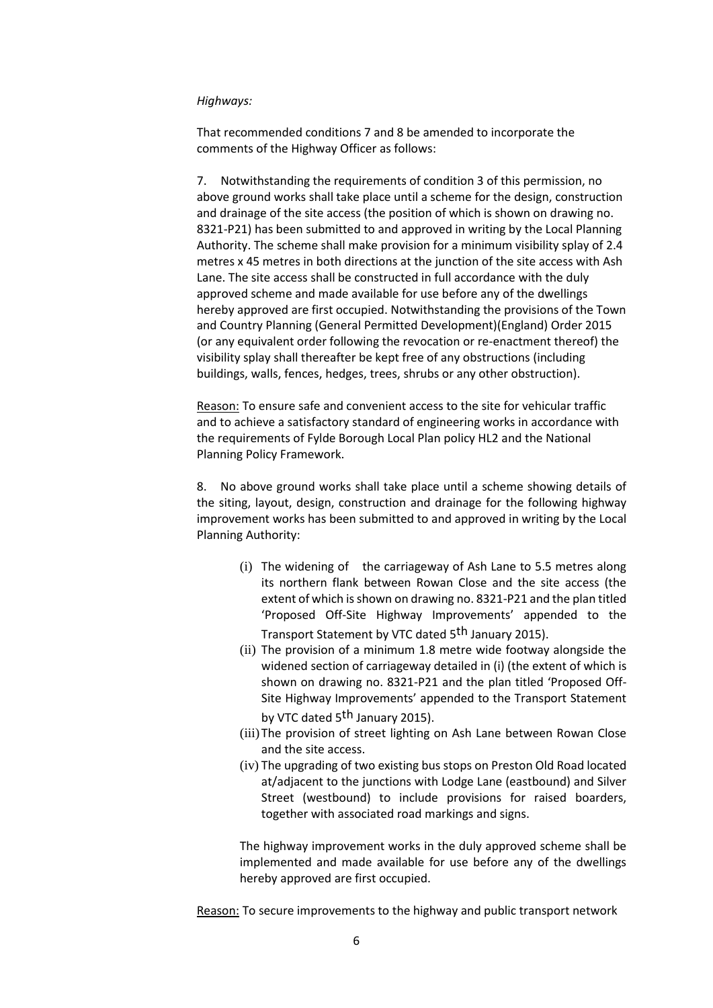## *Highways:*

That recommended conditions 7 and 8 be amended to incorporate the comments of the Highway Officer as follows:

7. Notwithstanding the requirements of condition 3 of this permission, no above ground works shall take place until a scheme for the design, construction and drainage of the site access (the position of which is shown on drawing no. 8321-P21) has been submitted to and approved in writing by the Local Planning Authority. The scheme shall make provision for a minimum visibility splay of 2.4 metres x 45 metres in both directions at the junction of the site access with Ash Lane. The site access shall be constructed in full accordance with the duly approved scheme and made available for use before any of the dwellings hereby approved are first occupied. Notwithstanding the provisions of the Town and Country Planning (General Permitted Development)(England) Order 2015 (or any equivalent order following the revocation or re-enactment thereof) the visibility splay shall thereafter be kept free of any obstructions (including buildings, walls, fences, hedges, trees, shrubs or any other obstruction).

Reason: To ensure safe and convenient access to the site for vehicular traffic and to achieve a satisfactory standard of engineering works in accordance with the requirements of Fylde Borough Local Plan policy HL2 and the National Planning Policy Framework.

8. No above ground works shall take place until a scheme showing details of the siting, layout, design, construction and drainage for the following highway improvement works has been submitted to and approved in writing by the Local Planning Authority:

- (i) The widening of the carriageway of Ash Lane to 5.5 metres along its northern flank between Rowan Close and the site access (the extent of which is shown on drawing no. 8321-P21 and the plan titled 'Proposed Off-Site Highway Improvements' appended to the Transport Statement by VTC dated 5<sup>th</sup> January 2015).
- (ii) The provision of a minimum 1.8 metre wide footway alongside the widened section of carriageway detailed in (i) (the extent of which is shown on drawing no. 8321-P21 and the plan titled 'Proposed Off-Site Highway Improvements' appended to the Transport Statement by VTC dated 5<sup>th</sup> January 2015).
- (iii) The provision of street lighting on Ash Lane between Rowan Close and the site access.
- (iv) The upgrading of two existing bus stops on Preston Old Road located at/adjacent to the junctions with Lodge Lane (eastbound) and Silver Street (westbound) to include provisions for raised boarders, together with associated road markings and signs.

The highway improvement works in the duly approved scheme shall be implemented and made available for use before any of the dwellings hereby approved are first occupied.

Reason: To secure improvements to the highway and public transport network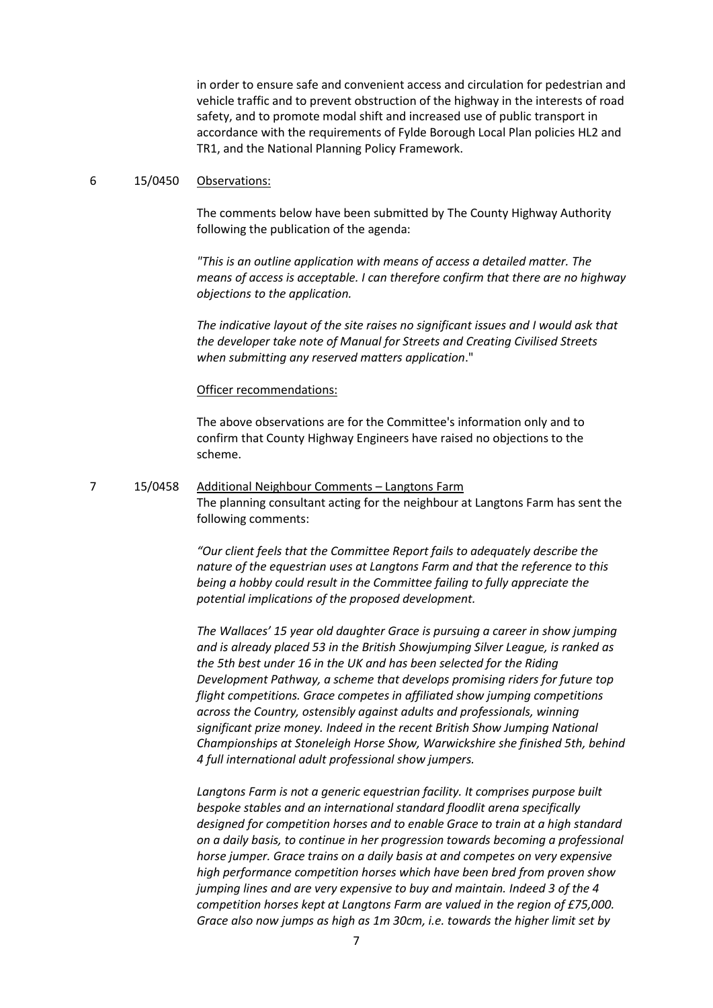in order to ensure safe and convenient access and circulation for pedestrian and vehicle traffic and to prevent obstruction of the highway in the interests of road safety, and to promote modal shift and increased use of public transport in accordance with the requirements of Fylde Borough Local Plan policies HL2 and TR1, and the National Planning Policy Framework.

### 6 15/0450 Observations:

The comments below have been submitted by The County Highway Authority following the publication of the agenda:

*"This is an outline application with means of access a detailed matter. The means of access is acceptable. I can therefore confirm that there are no highway objections to the application.*

*The indicative layout of the site raises no significant issues and I would ask that the developer take note of Manual for Streets and Creating Civilised Streets when submitting any reserved matters application*."

### Officer recommendations:

The above observations are for the Committee's information only and to confirm that County Highway Engineers have raised no objections to the scheme.

# 7 15/0458 Additional Neighbour Comments – Langtons Farm The planning consultant acting for the neighbour at Langtons Farm has sent the following comments:

*"Our client feels that the Committee Report fails to adequately describe the nature of the equestrian uses at Langtons Farm and that the reference to this being a hobby could result in the Committee failing to fully appreciate the potential implications of the proposed development.*

*The Wallaces' 15 year old daughter Grace is pursuing a career in show jumping and is already placed 53 in the British Showjumping Silver League, is ranked as the 5th best under 16 in the UK and has been selected for the Riding Development Pathway, a scheme that develops promising riders for future top flight competitions. Grace competes in affiliated show jumping competitions across the Country, ostensibly against adults and professionals, winning significant prize money. Indeed in the recent British Show Jumping National Championships at Stoneleigh Horse Show, Warwickshire she finished 5th, behind 4 full international adult professional show jumpers.*

Langtons Farm is not a generic equestrian facility. It comprises purpose built *bespoke stables and an international standard floodlit arena specifically designed for competition horses and to enable Grace to train at a high standard on a daily basis, to continue in her progression towards becoming a professional horse jumper. Grace trains on a daily basis at and competes on very expensive high performance competition horses which have been bred from proven show jumping lines and are very expensive to buy and maintain. Indeed 3 of the 4 competition horses kept at Langtons Farm are valued in the region of £75,000. Grace also now jumps as high as 1m 30cm, i.e. towards the higher limit set by*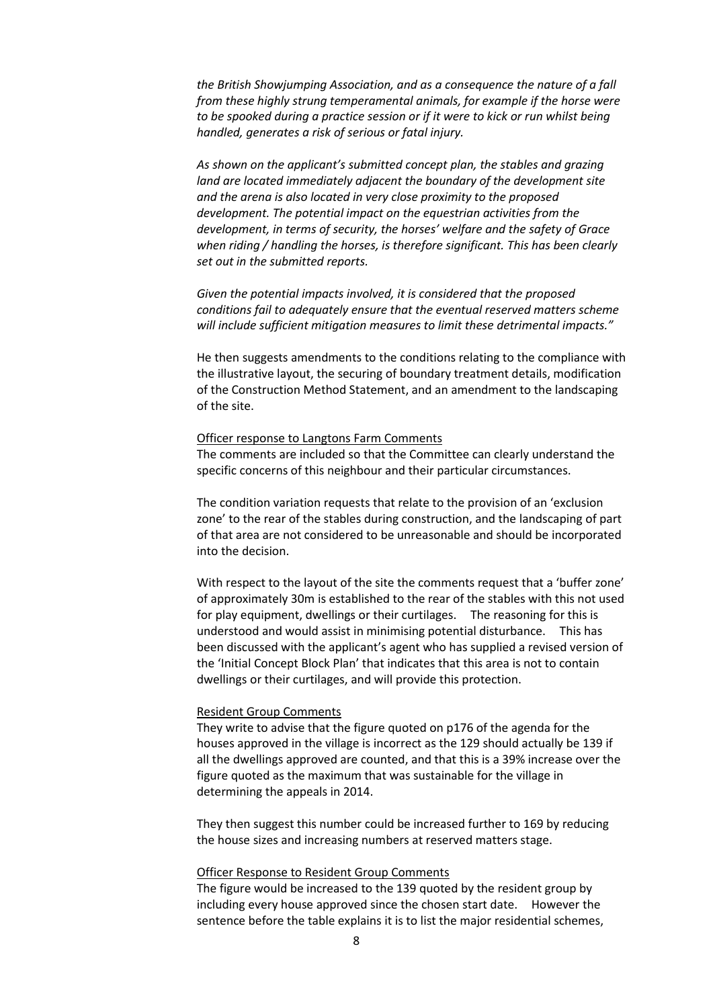*the British Showjumping Association, and as a consequence the nature of a fall from these highly strung temperamental animals, for example if the horse were to be spooked during a practice session or if it were to kick or run whilst being handled, generates a risk of serious or fatal injury.* 

*As shown on the applicant's submitted concept plan, the stables and grazing land are located immediately adjacent the boundary of the development site and the arena is also located in very close proximity to the proposed development. The potential impact on the equestrian activities from the development, in terms of security, the horses' welfare and the safety of Grace when riding / handling the horses, is therefore significant. This has been clearly set out in the submitted reports.* 

*Given the potential impacts involved, it is considered that the proposed conditions fail to adequately ensure that the eventual reserved matters scheme will include sufficient mitigation measures to limit these detrimental impacts."*

He then suggests amendments to the conditions relating to the compliance with the illustrative layout, the securing of boundary treatment details, modification of the Construction Method Statement, and an amendment to the landscaping of the site.

### Officer response to Langtons Farm Comments

The comments are included so that the Committee can clearly understand the specific concerns of this neighbour and their particular circumstances.

The condition variation requests that relate to the provision of an 'exclusion zone' to the rear of the stables during construction, and the landscaping of part of that area are not considered to be unreasonable and should be incorporated into the decision.

With respect to the layout of the site the comments request that a 'buffer zone' of approximately 30m is established to the rear of the stables with this not used for play equipment, dwellings or their curtilages. The reasoning for this is understood and would assist in minimising potential disturbance. This has been discussed with the applicant's agent who has supplied a revised version of the 'Initial Concept Block Plan' that indicates that this area is not to contain dwellings or their curtilages, and will provide this protection.

### Resident Group Comments

They write to advise that the figure quoted on p176 of the agenda for the houses approved in the village is incorrect as the 129 should actually be 139 if all the dwellings approved are counted, and that this is a 39% increase over the figure quoted as the maximum that was sustainable for the village in determining the appeals in 2014.

They then suggest this number could be increased further to 169 by reducing the house sizes and increasing numbers at reserved matters stage.

#### Officer Response to Resident Group Comments

The figure would be increased to the 139 quoted by the resident group by including every house approved since the chosen start date. However the sentence before the table explains it is to list the major residential schemes,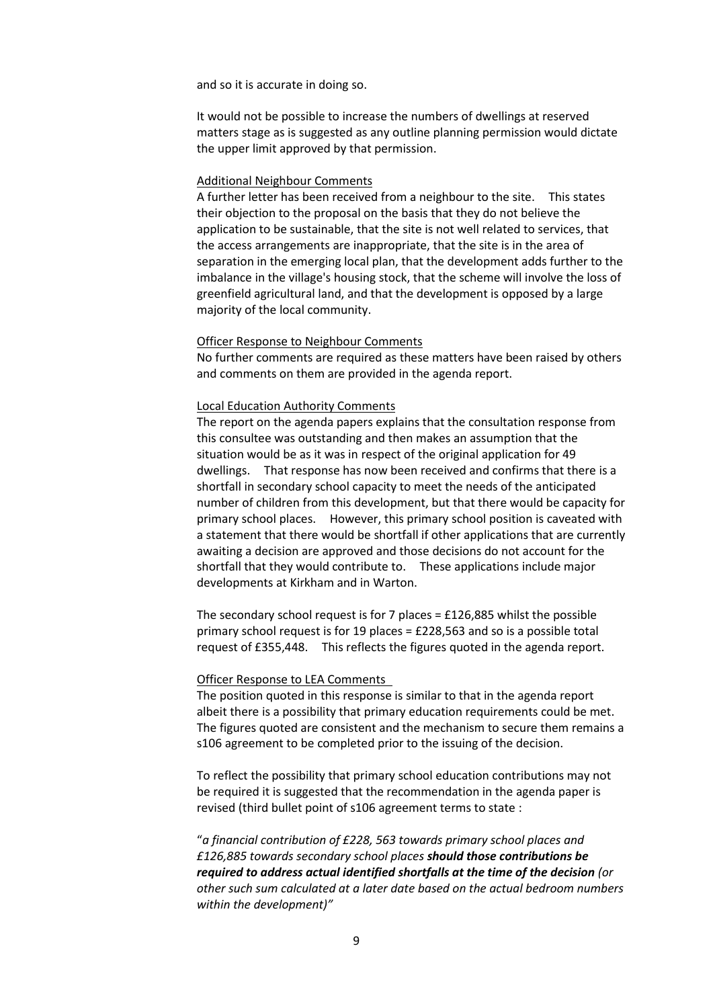and so it is accurate in doing so.

It would not be possible to increase the numbers of dwellings at reserved matters stage as is suggested as any outline planning permission would dictate the upper limit approved by that permission.

#### Additional Neighbour Comments

A further letter has been received from a neighbour to the site. This states their objection to the proposal on the basis that they do not believe the application to be sustainable, that the site is not well related to services, that the access arrangements are inappropriate, that the site is in the area of separation in the emerging local plan, that the development adds further to the imbalance in the village's housing stock, that the scheme will involve the loss of greenfield agricultural land, and that the development is opposed by a large majority of the local community.

#### Officer Response to Neighbour Comments

No further comments are required as these matters have been raised by others and comments on them are provided in the agenda report.

#### Local Education Authority Comments

The report on the agenda papers explains that the consultation response from this consultee was outstanding and then makes an assumption that the situation would be as it was in respect of the original application for 49 dwellings. That response has now been received and confirms that there is a shortfall in secondary school capacity to meet the needs of the anticipated number of children from this development, but that there would be capacity for primary school places. However, this primary school position is caveated with a statement that there would be shortfall if other applications that are currently awaiting a decision are approved and those decisions do not account for the shortfall that they would contribute to. These applications include major developments at Kirkham and in Warton.

The secondary school request is for 7 places = £126,885 whilst the possible primary school request is for 19 places =  $£228,563$  and so is a possible total request of £355,448. This reflects the figures quoted in the agenda report.

#### Officer Response to LEA Comments

The position quoted in this response is similar to that in the agenda report albeit there is a possibility that primary education requirements could be met. The figures quoted are consistent and the mechanism to secure them remains a s106 agreement to be completed prior to the issuing of the decision.

To reflect the possibility that primary school education contributions may not be required it is suggested that the recommendation in the agenda paper is revised (third bullet point of s106 agreement terms to state :

"*a financial contribution of £228, 563 towards primary school places and £126,885 towards secondary school places should those contributions be required to address actual identified shortfalls at the time of the decision (or other such sum calculated at a later date based on the actual bedroom numbers within the development)"*